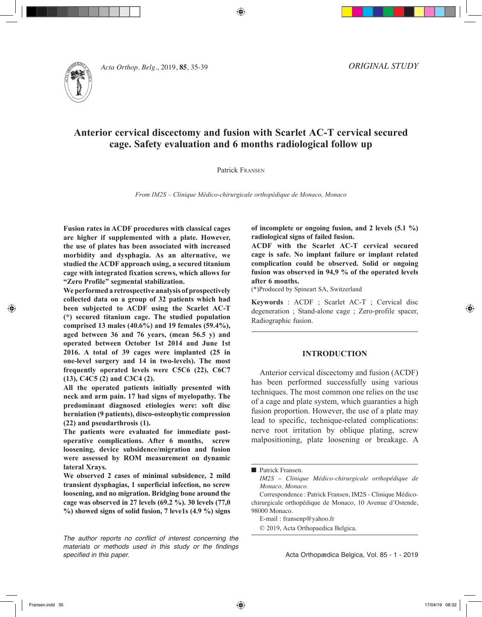

*Acta Orthop. Belg.*, 2019, **85**, 35-39

*ORIGINAL STUDY*

# **Anterior cervical discectomy and fusion with Scarlet AC-T cervical secured cage. Safety evaluation and 6 months radiological follow up**

⊕

### Patrick Fransen

*From IM2S – Clinique Médico-chirurgicale orthopédique de Monaco, Monaco*

**Fusion rates in ACDF procedures with classical cages are higher if supplemented with a plate. However, the use of plates has been associated with increased morbidity and dysphagia. As an alternative, we studied the ACDF approach using, a secured titanium cage with integrated fixation screws, which allows for "Zero Profile" segmental stabilization.**

**We performed a retrospective analysis of prospectively collected data on a group of 32 patients which had been subjected to ACDF using the Scarlet AC-T (\*) secured titanium cage. The studied population comprised 13 males (40.6%) and 19 females (59.4%), aged between 36 and 76 years, (mean 56.5 y) and operated between October 1st 2014 and June 1st 2016. A total of 39 cages were implanted (25 in one-level surgery and 14 in two-levels). The most frequently operated levels were C5C6 (22), C6C7 (13), C4C5 (2) and C3C4 (2).** 

**All the operated patients initially presented with neck and arm pain. 17 had signs of myelopathy. The predominant diagnosed etiologies were: soft disc herniation (9 patients), disco-osteophytic compression (22) and pseudarthrosis (1).**

**The patients were evaluated for immediate postoperative complications. After 6 months, screw loosening, device subsidence/migration and fusion were assessed by ROM measurement on dynamic lateral Xrays.** 

**We observed 2 cases of minimal subsidence, 2 mild transient dysphagias, 1 superficial infection, no screw loosening, and no migration. Bridging bone around the cage was observed in 27 levels (69.2 %). 30 levels (77,0 %) showed signs of solid fusion, 7 leve1s (4.9 %) signs** 

*The author reports no conflict of interest concerning the materials or methods used in this study or the findings specified in this paper.*

**of incomplete or ongoing fusion, and 2 levels (5.1 %) radiological signs of failed fusion.**

**ACDF with the Scarlet AC-T cervical secured cage is safe. No implant failure or implant related complication could be observed. Solid or ongoing fusion was observed in 94,9 % of the operated levels after 6 months.** 

(\*)Produced by Spineart SA, Switzerland

**Keywords** : ACDF ; Scarlet AC-T ; Cervical disc degeneration ; Stand-alone cage ; Zero-profile spacer, Radiographic fusion.

#### **INTRODUCTION**

Anterior cervical discectomy and fusion (ACDF) has been performed successfully using various techniques. The most common one relies on the use of a cage and plate system, which guaranties a high fusion proportion. However, the use of a plate may lead to specific, technique-related complications: nerve root irritation by oblique plating, screw malpositioning, plate loosening or breakage. A

*IM2S – Clinique Médico-chirurgicale orthopédique de Monaco, Monaco.*

Correspondence : Patrick Fransen, IM2S - Clinique Médicochirurgicale orthopédique de Monaco, 10 Avenue d'Ostende, 98000 Monaco.

E-mail : fransenp@yahoo.fr

© 2019, Acta Orthopaedica Belgica.

Acta Orthopædica Belgica, Vol. 85 - 1 - 2019

**n** Patrick Fransen.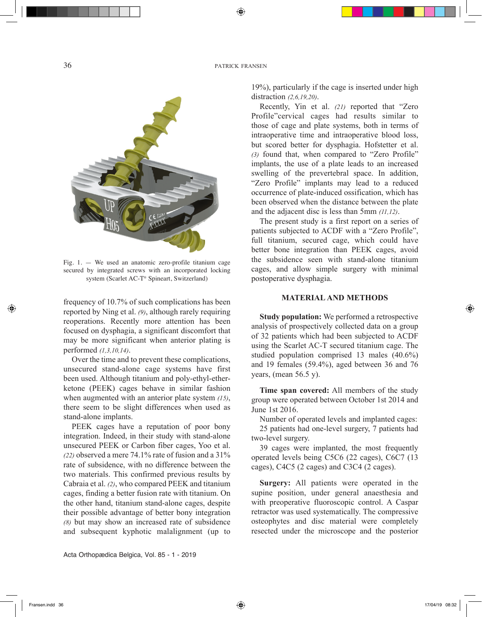36 **patrick fransen** 

⊕



Fig. 1. — We used an anatomic zero-profile titanium cage secured by integrated screws with an incorporated locking system (Scarlet AC-T® Spineart, Switzerland)

frequency of 10.7% of such complications has been reported by Ning et al. *(9)*, although rarely requiring reoperations. Recently more attention has been focused on dysphagia, a significant discomfort that may be more significant when anterior plating is performed *(1,3,10,14)*.

Over the time and to prevent these complications, unsecured stand-alone cage systems have first been used. Although titanium and poly-ethyl-etherketone (PEEK) cages behave in similar fashion when augmented with an anterior plate system *(15)*, there seem to be slight differences when used as stand-alone implants.

PEEK cages have a reputation of poor bony integration. Indeed, in their study with stand-alone unsecured PEEK or Carbon fiber cages, Yoo et al.  $(22)$  observed a mere 74.1% rate of fusion and a  $31\%$ rate of subsidence, with no difference between the two materials. This confirmed previous results by Cabraia et al. *(2)*, who compared PEEK and titanium cages, finding a better fusion rate with titanium. On the other hand, titanium stand-alone cages, despite their possible advantage of better bony integration *(8)* but may show an increased rate of subsidence and subsequent kyphotic malalignment (up to

Acta Orthopædica Belgica, Vol. 85 - 1 - 2019

19%), particularly if the cage is inserted under high distraction *(2,6,19,20)*.

Recently, Yin et al. *(21)* reported that "Zero Profile"cervical cages had results similar to those of cage and plate systems, both in terms of intraoperative time and intraoperative blood loss, but scored better for dysphagia. Hofstetter et al. *(3)* found that, when compared to "Zero Profile" implants, the use of a plate leads to an increased swelling of the prevertebral space. In addition, "Zero Profile" implants may lead to a reduced occurrence of plate-induced ossification, which has been observed when the distance between the plate and the adjacent disc is less than 5mm *(11,12)*.

The present study is a first report on a series of patients subjected to ACDF with a "Zero Profile", full titanium, secured cage, which could have better bone integration than PEEK cages, avoid the subsidence seen with stand-alone titanium cages, and allow simple surgery with minimal postoperative dysphagia.

### **MATERIAL AND METHODS**

**Study population:** We performed a retrospective analysis of prospectively collected data on a group of 32 patients which had been subjected to ACDF using the Scarlet AC-T secured titanium cage. The studied population comprised 13 males (40.6%) and 19 females (59.4%), aged between 36 and 76 years, (mean 56.5 y).

**Time span covered:** All members of the study group were operated between October 1st 2014 and June 1st 2016.

Number of operated levels and implanted cages: 25 patients had one-level surgery, 7 patients had two-level surgery.

39 cages were implanted, the most frequently operated levels being C5C6 (22 cages), C6C7 (13 cages), C4C5 (2 cages) and C3C4 (2 cages).

**Surgery:** All patients were operated in the supine position, under general anaesthesia and with preoperative fluoroscopic control. A Caspar retractor was used systematically. The compressive osteophytes and disc material were completely resected under the microscope and the posterior

◈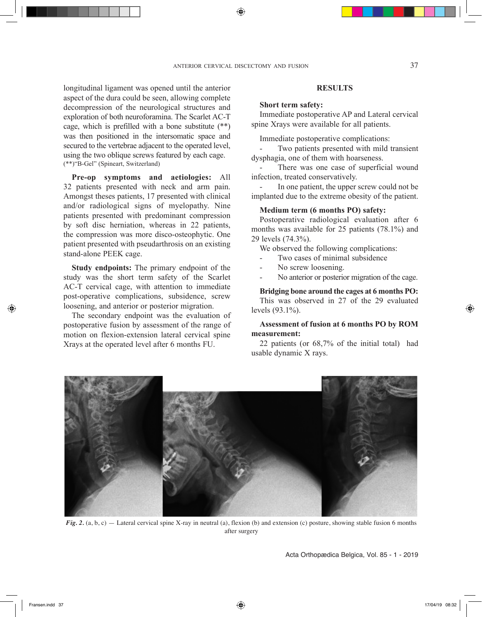longitudinal ligament was opened until the anterior aspect of the dura could be seen, allowing complete decompression of the neurological structures and exploration of both neuroforamina. The Scarlet AC-T cage, which is prefilled with a bone substitute (\*\*) was then positioned in the intersomatic space and secured to the vertebrae adjacent to the operated level, using the two oblique screws featured by each cage. (\*\*)"B-Gel" (Spineart, Switzerland)

**Pre-op symptoms and aetiologies:** All 32 patients presented with neck and arm pain. Amongst theses patients, 17 presented with clinical and/or radiological signs of myelopathy. Nine patients presented with predominant compression by soft disc herniation, whereas in 22 patients, the compression was more disco-osteophytic. One patient presented with pseudarthrosis on an existing stand-alone PEEK cage.

**Study endpoints:** The primary endpoint of the study was the short term safety of the Scarlet AC-T cervical cage, with attention to immediate post-operative complications, subsidence, screw loosening, and anterior or posterior migration.

The secondary endpoint was the evaluation of postoperative fusion by assessment of the range of motion on flexion-extension lateral cervical spine Xrays at the operated level after 6 months FU.

## **RESULTS**

### **Short term safety:**

Immediate postoperative AP and Lateral cervical spine Xrays were available for all patients.

Immediate postoperative complications:

Two patients presented with mild transient dysphagia, one of them with hoarseness.

There was one case of superficial wound infection, treated conservatively.

In one patient, the upper screw could not be implanted due to the extreme obesity of the patient.

# **Medium term (6 months PO) safety:**

Postoperative radiological evaluation after 6 months was available for 25 patients (78.1%) and 29 levels (74.3%).

We observed the following complications:

- Two cases of minimal subsidence
- No screw loosening.
- No anterior or posterior migration of the cage.

### **Bridging bone around the cages at 6 months PO:**

This was observed in 27 of the 29 evaluated levels (93.1%).

## **Assessment of fusion at 6 months PO by ROM measurement:**

22 patients (or 68,7% of the initial total) had usable dynamic X rays.



*Fig. 2.* (a, b, c) — Lateral cervical spine X-ray in neutral (a), flexion (b) and extension (c) posture, showing stable fusion 6 months after surgery

Acta Orthopædica Belgica, Vol. 85 - 1 - 2019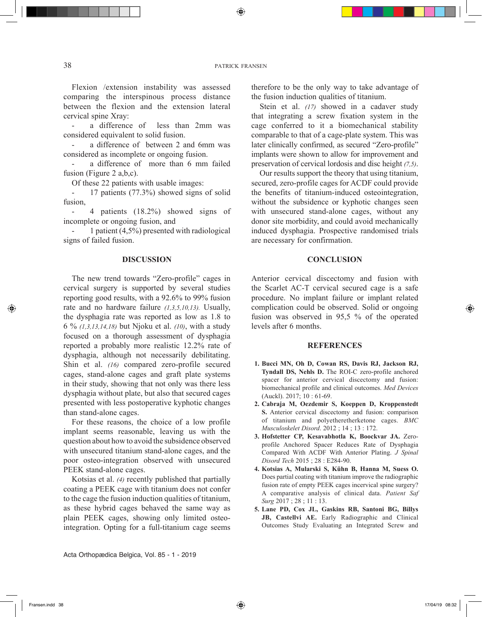38 patrick fransen

⊕

Flexion /extension instability was assessed comparing the interspinous process distance between the flexion and the extension lateral cervical spine Xray:

- a difference of less than 2mm was considered equivalent to solid fusion.

a difference of between 2 and 6mm was considered as incomplete or ongoing fusion.

a difference of more than 6 mm failed fusion (Figure 2 a,b,c).

Of these 22 patients with usable images:

- 17 patients (77.3%) showed signs of solid fusion,

4 patients (18.2%) showed signs of incomplete or ongoing fusion, and

1 patient  $(4,5\%)$  presented with radiological signs of failed fusion.

### **DISCUSSION**

The new trend towards "Zero-profile" cages in cervical surgery is supported by several studies reporting good results, with a 92.6% to 99% fusion rate and no hardware failure *(1,3,5,10,13).* Usually, the dysphagia rate was reported as low as 1.8 to 6 % *(1,3,13,14,18)* but Njoku et al. *(10)*, with a study focused on a thorough assessment of dysphagia reported a probably more realistic 12.2% rate of dysphagia, although not necessarily debilitating. Shin et al. *(16)* compared zero-profile secured cages, stand-alone cages and graft plate systems in their study, showing that not only was there less dysphagia without plate, but also that secured cages presented with less postoperative kyphotic changes than stand-alone cages.

For these reasons, the choice of a low profile implant seems reasonable, leaving us with the question about how to avoid the subsidence observed with unsecured titanium stand-alone cages, and the poor osteo-integration observed with unsecured PEEK stand-alone cages.

Kotsias et al. *(4)* recently published that partially coating a PEEK cage with titanium does not confer to the cage the fusion induction qualities of titanium, as these hybrid cages behaved the same way as plain PEEK cages, showing only limited osteointegration. Opting for a full-titanium cage seems

therefore to be the only way to take advantage of the fusion induction qualities of titanium.

Stein et al. *(17)* showed in a cadaver study that integrating a screw fixation system in the cage conferred to it a biomechanical stability comparable to that of a cage-plate system. This was later clinically confirmed, as secured "Zero-profile" implants were shown to allow for improvement and preservation of cervical lordosis and disc height *(7,5)*.

Our results support the theory that using titanium, secured, zero-profile cages for ACDF could provide the benefits of titanium-induced osteointegration, without the subsidence or kyphotic changes seen with unsecured stand-alone cages, without any donor site morbidity, and could avoid mechanically induced dysphagia. Prospective randomised trials are necessary for confirmation.

### **CONCLUSION**

Anterior cervical discectomy and fusion with the Scarlet AC-T cervical secured cage is a safe procedure. No implant failure or implant related complication could be observed. Solid or ongoing fusion was observed in 95,5 % of the operated levels after 6 months.

#### **REFERENCES**

- **1. Bucci MN, Oh D, Cowan RS, Davis RJ, Jackson RJ, Tyndall DS, Nehls D.** The ROI-C zero-profile anchored spacer for anterior cervical discectomy and fusion: biomechanical profile and clinical outcomes. *Med Devices*  (Auckl). 2017; 10 : 61-69.
- **2. Cabraja M, Oezdemir S, Koeppen D, Kroppenstedt S.** Anterior cervical discectomy and fusion: comparison of titanium and polyetheretherketone cages. *BMC Musculoskelet Disord*. 2012 ; 14 ; 13 : 172.
- **3. Hofstetter CP, Kesavabhotla K, Boockvar JA.** Zeroprofile Anchored Spacer Reduces Rate of Dysphagia Compared With ACDF With Anterior Plating. *J Spinal Disord Tech* 2015 ; 28 : E284-90.
- **4. Kotsias A, Mularski S, Kühn B, Hanna M, Suess O.** Does partial coating with titanium improve the radiographic fusion rate of empty PEEK cages incervical spine surgery? A comparative analysis of clinical data. *Patient Saf Surg* 2017 ; 28 ; 11 : 13.
- **5. Lane PD, Cox JL, Gaskins RB, Santoni BG, Billys JB, Castellvi AE.** Early Radiographic and Clinical Outcomes Study Evaluating an Integrated Screw and

Fransen.indd 38 17/04/19 08:32